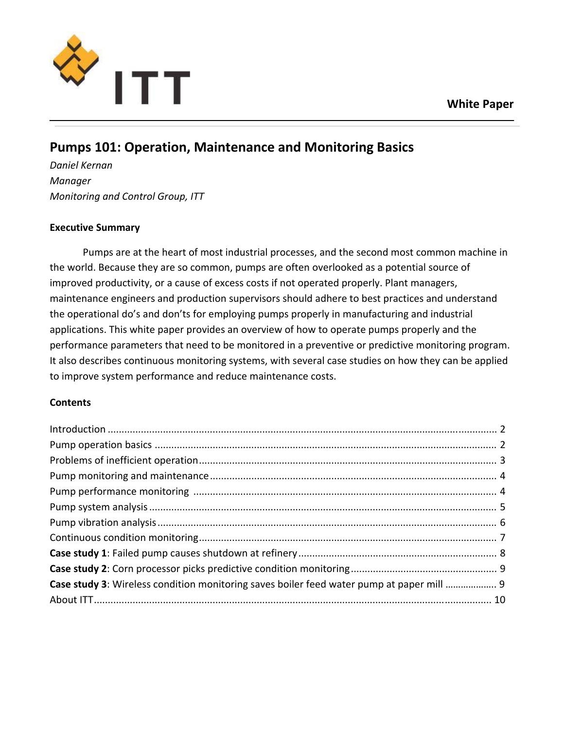



# **Pumps 101: Operation, Maintenance and Monitoring Basics**

*Daniel Kernan Manager Monitoring and Control Group, ITT*

# **Executive Summary**

Pumps are at the heart of most industrial processes, and the second most common machine in the world. Because they are so common, pumps are often overlooked as a potential source of improved productivity, or a cause of excess costs if not operated properly. Plant managers, maintenance engineers and production supervisors should adhere to best practices and understand the operational do's and don'ts for employing pumps properly in manufacturing and industrial applications. This white paper provides an overview of how to operate pumps properly and the performance parameters that need to be monitored in a preventive or predictive monitoring program. It also describes continuous monitoring systems, with several case studies on how they can be applied to improve system performance and reduce maintenance costs.

# **Contents**

| Case study 3: Wireless condition monitoring saves boiler feed water pump at paper mill  9 |  |
|-------------------------------------------------------------------------------------------|--|
|                                                                                           |  |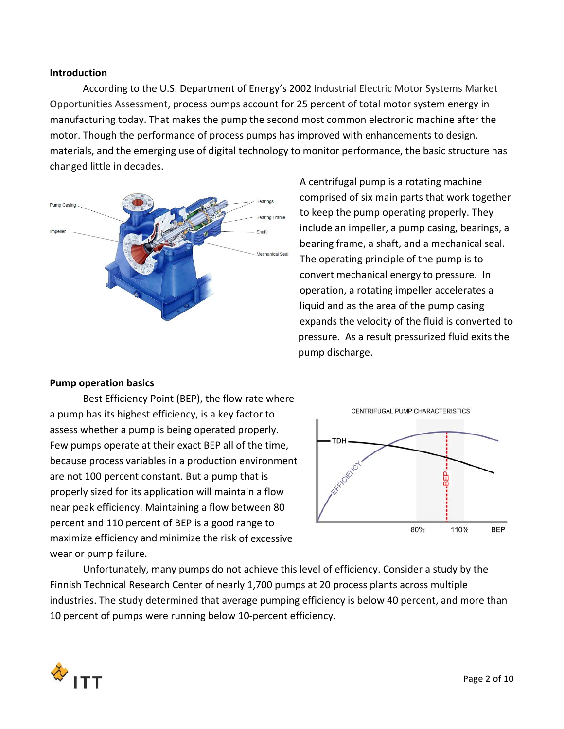#### **Introduction**

According to the U.S. Department of Energy's 2002 Industrial Electric Motor Systems Market Opportunities Assessment, process pumps account for 25 percent of total motor system energy in manufacturing today. That makes the pump the second most common electronic machine after the motor. Though the performance of process pumps has improved with enhancements to design, materials, and the emerging use of digital technology to monitor performance, the basic structure has changed little in decades.



A centrifugal pump is a rotating machine comprised of six main parts that work together to keep the pump operating properly. They include an impeller, a pump casing, bearings, a bearing frame, a shaft, and a mechanical seal. The operating principle of the pump is to convert mechanical energy to pressure. In operation, a rotating impeller accelerates a liquid and as the area of the pump casing expands the velocity of the fluid is converted to pressure. As a result pressurized fluid exits the pump discharge.

## **Pump operation basics**

Best Efficiency Point (BEP), the flow rate where a pump has its highest efficiency, is a key factor to assess whether a pump is being operated properly. Few pumps operate at their exact BEP all of the time, because process variables in a production environment are not 100 percent constant. But a pump that is properly sized for its application will maintain a flow near peak efficiency. Maintaining a flow between 80 percent and 110 percent of BEP is a good range to maximize efficiency and minimize the risk of excessive wear or pump failure.



Unfortunately, many pumps do not achieve this level of efficiency. Consider a study by the Finnish Technical Research Center of nearly 1,700 pumps at 20 process plants across multiple industries. The study determined that average pumping efficiency is below 40 percent, and more than 10 percent of pumps were running below 10-percent efficiency.

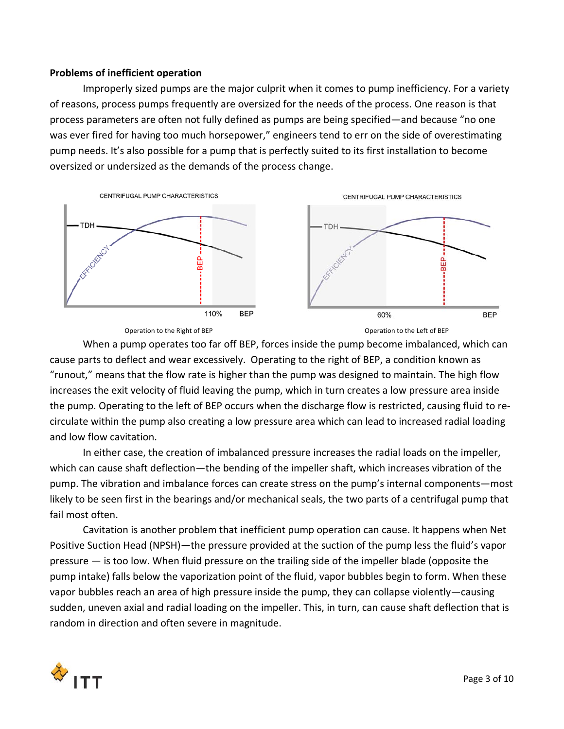#### **Problems of inefficient operation**

Improperly sized pumps are the major culprit when it comes to pump inefficiency. For a variety of reasons, process pumps frequently are oversized for the needs of the process. One reason is that process parameters are often not fully defined as pumps are being specified—and because "no one was ever fired for having too much horsepower," engineers tend to err on the side of overestimating pump needs. It's also possible for a pump that is perfectly suited to its first installation to become oversized or undersized as the demands of the process change.





When a pump operates too far off BEP, forces inside the pump become imbalanced, which can cause parts to deflect and wear excessively. Operating to the right of BEP, a condition known as "runout," means that the flow rate is higher than the pump was designed to maintain. The high flow increases the exit velocity of fluid leaving the pump, which in turn creates a low pressure area inside the pump. Operating to the left of BEP occurs when the discharge flow is restricted, causing fluid to re‐ circulate within the pump also creating a low pressure area which can lead to increased radial loading and low flow cavitation.

In either case, the creation of imbalanced pressure increases the radial loads on the impeller, which can cause shaft deflection—the bending of the impeller shaft, which increases vibration of the pump. The vibration and imbalance forces can create stress on the pump's internal components—most likely to be seen first in the bearings and/or mechanical seals, the two parts of a centrifugal pump that fail most often.

Cavitation is another problem that inefficient pump operation can cause. It happens when Net Positive Suction Head (NPSH)—the pressure provided at the suction of the pump less the fluid's vapor pressure — is too low. When fluid pressure on the trailing side of the impeller blade (opposite the pump intake) falls below the vaporization point of the fluid, vapor bubbles begin to form. When these vapor bubbles reach an area of high pressure inside the pump, they can collapse violently―causing sudden, uneven axial and radial loading on the impeller. This, in turn, can cause shaft deflection that is random in direction and often severe in magnitude.

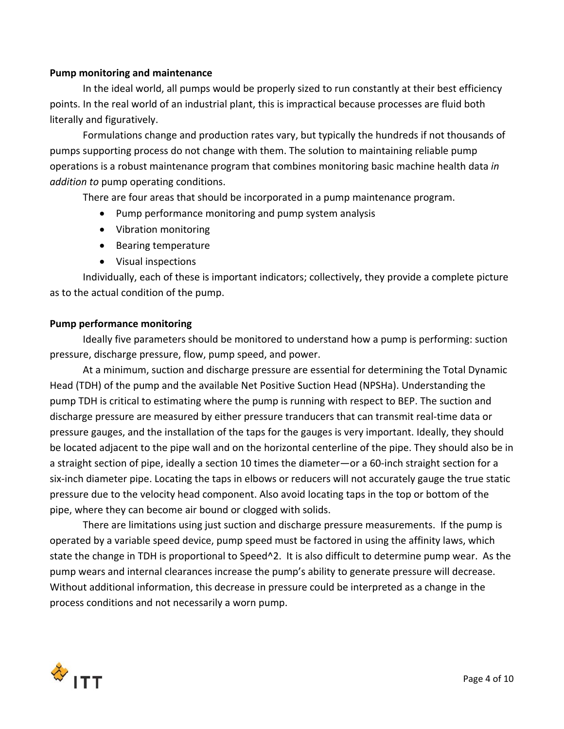#### **Pump monitoring and maintenance**

In the ideal world, all pumps would be properly sized to run constantly at their best efficiency points. In the real world of an industrial plant, this is impractical because processes are fluid both literally and figuratively.

Formulations change and production rates vary, but typically the hundreds if not thousands of pumps supporting process do not change with them. The solution to maintaining reliable pump operations is a robust maintenance program that combines monitoring basic machine health data *in addition to* pump operating conditions.

There are four areas that should be incorporated in a pump maintenance program.

- Pump performance monitoring and pump system analysis
- Vibration monitoring
- Bearing temperature
- Visual inspections

Individually, each of these is important indicators; collectively, they provide a complete picture as to the actual condition of the pump.

#### **Pump performance monitoring**

Ideally five parameters should be monitored to understand how a pump is performing: suction pressure, discharge pressure, flow, pump speed, and power.

At a minimum, suction and discharge pressure are essential for determining the Total Dynamic Head (TDH) of the pump and the available Net Positive Suction Head (NPSHa). Understanding the pump TDH is critical to estimating where the pump is running with respect to BEP. The suction and discharge pressure are measured by either pressure tranducers that can transmit real‐time data or pressure gauges, and the installation of the taps for the gauges is very important. Ideally, they should be located adjacent to the pipe wall and on the horizontal centerline of the pipe. They should also be in a straight section of pipe, ideally a section 10 times the diameter—or a 60‐inch straight section for a six‐inch diameter pipe. Locating the taps in elbows or reducers will not accurately gauge the true static pressure due to the velocity head component. Also avoid locating taps in the top or bottom of the pipe, where they can become air bound or clogged with solids.

There are limitations using just suction and discharge pressure measurements. If the pump is operated by a variable speed device, pump speed must be factored in using the affinity laws, which state the change in TDH is proportional to Speed^2. It is also difficult to determine pump wear. As the pump wears and internal clearances increase the pump's ability to generate pressure will decrease. Without additional information, this decrease in pressure could be interpreted as a change in the process conditions and not necessarily a worn pump.

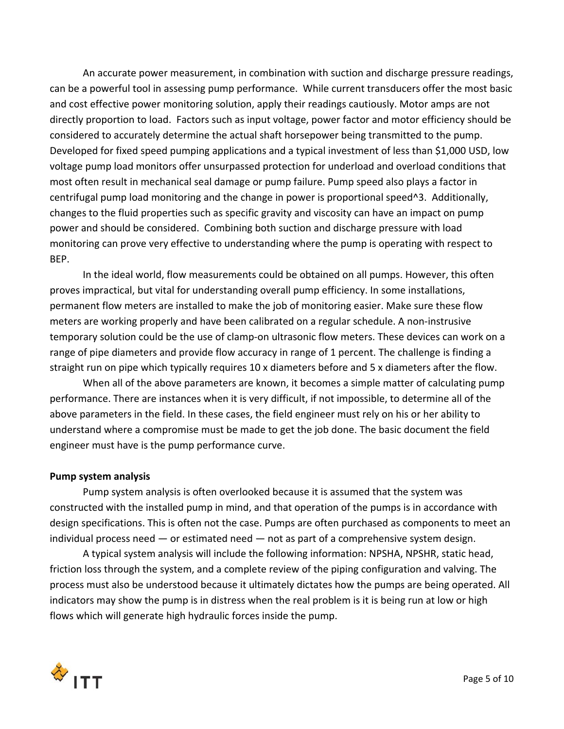An accurate power measurement, in combination with suction and discharge pressure readings, can be a powerful tool in assessing pump performance. While current transducers offer the most basic and cost effective power monitoring solution, apply their readings cautiously. Motor amps are not directly proportion to load. Factors such as input voltage, power factor and motor efficiency should be considered to accurately determine the actual shaft horsepower being transmitted to the pump. Developed for fixed speed pumping applications and a typical investment of less than \$1,000 USD, low voltage pump load monitors offer unsurpassed protection for underload and overload conditions that most often result in mechanical seal damage or pump failure. Pump speed also plays a factor in centrifugal pump load monitoring and the change in power is proportional speed^3. Additionally, changes to the fluid properties such as specific gravity and viscosity can have an impact on pump power and should be considered. Combining both suction and discharge pressure with load monitoring can prove very effective to understanding where the pump is operating with respect to BEP.

In the ideal world, flow measurements could be obtained on all pumps. However, this often proves impractical, but vital for understanding overall pump efficiency. In some installations, permanent flow meters are installed to make the job of monitoring easier. Make sure these flow meters are working properly and have been calibrated on a regular schedule. A non-instrusive temporary solution could be the use of clamp‐on ultrasonic flow meters. These devices can work on a range of pipe diameters and provide flow accuracy in range of 1 percent. The challenge is finding a straight run on pipe which typically requires 10 x diameters before and 5 x diameters after the flow.

When all of the above parameters are known, it becomes a simple matter of calculating pump performance. There are instances when it is very difficult, if not impossible, to determine all of the above parameters in the field. In these cases, the field engineer must rely on his or her ability to understand where a compromise must be made to get the job done. The basic document the field engineer must have is the pump performance curve.

#### **Pump system analysis**

Pump system analysis is often overlooked because it is assumed that the system was constructed with the installed pump in mind, and that operation of the pumps is in accordance with design specifications. This is often not the case. Pumps are often purchased as components to meet an individual process need — or estimated need — not as part of a comprehensive system design.

A typical system analysis will include the following information: NPSHA, NPSHR, static head, friction loss through the system, and a complete review of the piping configuration and valving. The process must also be understood because it ultimately dictates how the pumps are being operated. All indicators may show the pump is in distress when the real problem is it is being run at low or high flows which will generate high hydraulic forces inside the pump.

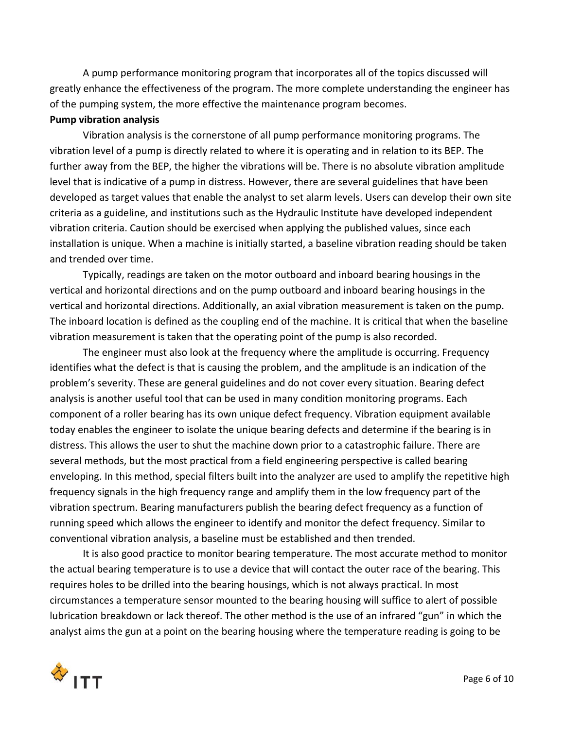A pump performance monitoring program that incorporates all of the topics discussed will greatly enhance the effectiveness of the program. The more complete understanding the engineer has of the pumping system, the more effective the maintenance program becomes.

#### **Pump vibration analysis**

Vibration analysis is the cornerstone of all pump performance monitoring programs. The vibration level of a pump is directly related to where it is operating and in relation to its BEP. The further away from the BEP, the higher the vibrations will be. There is no absolute vibration amplitude level that is indicative of a pump in distress. However, there are several guidelines that have been developed as target values that enable the analyst to set alarm levels. Users can develop their own site criteria as a guideline, and institutions such as the Hydraulic Institute have developed independent vibration criteria. Caution should be exercised when applying the published values, since each installation is unique. When a machine is initially started, a baseline vibration reading should be taken and trended over time.

Typically, readings are taken on the motor outboard and inboard bearing housings in the vertical and horizontal directions and on the pump outboard and inboard bearing housings in the vertical and horizontal directions. Additionally, an axial vibration measurement is taken on the pump. The inboard location is defined as the coupling end of the machine. It is critical that when the baseline vibration measurement is taken that the operating point of the pump is also recorded.

The engineer must also look at the frequency where the amplitude is occurring. Frequency identifies what the defect is that is causing the problem, and the amplitude is an indication of the problem's severity. These are general guidelines and do not cover every situation. Bearing defect analysis is another useful tool that can be used in many condition monitoring programs. Each component of a roller bearing has its own unique defect frequency. Vibration equipment available today enables the engineer to isolate the unique bearing defects and determine if the bearing is in distress. This allows the user to shut the machine down prior to a catastrophic failure. There are several methods, but the most practical from a field engineering perspective is called bearing enveloping. In this method, special filters built into the analyzer are used to amplify the repetitive high frequency signals in the high frequency range and amplify them in the low frequency part of the vibration spectrum. Bearing manufacturers publish the bearing defect frequency as a function of running speed which allows the engineer to identify and monitor the defect frequency. Similar to conventional vibration analysis, a baseline must be established and then trended.

It is also good practice to monitor bearing temperature. The most accurate method to monitor the actual bearing temperature is to use a device that will contact the outer race of the bearing. This requires holes to be drilled into the bearing housings, which is not always practical. In most circumstances a temperature sensor mounted to the bearing housing will suffice to alert of possible lubrication breakdown or lack thereof. The other method is the use of an infrared "gun" in which the analyst aims the gun at a point on the bearing housing where the temperature reading is going to be

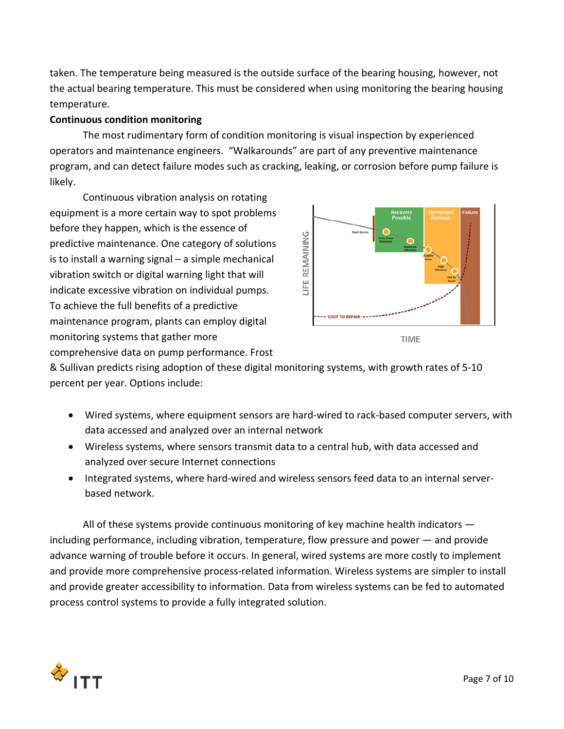taken. The temperature being measured is the outside surface of the bearing housing, however, not the actual bearing temperature. This must be considered when using monitoring the bearing housing temperature.

## **Continuous condition monitoring**

The most rudimentary form of condition monitoring is visual inspection by experienced operators and maintenance engineers. "Walkarounds" are part of any preventive maintenance program, and can detect failure modes such as cracking, leaking, or corrosion before pump failure is likely.

Continuous vibration analysis on rotating equipment is a more certain way to spot problems before they happen, which is the essence of predictive maintenance. One category of solutions is to install a warning signal – a simple mechanical vibration switch or digital warning light that will indicate excessive vibration on individual pumps. To achieve the full benefits of a predictive maintenance program, plants can employ digital monitoring systems that gather more comprehensive data on pump performance. Frost





& Sullivan predicts rising adoption of these digital monitoring systems, with growth rates of 5‐10 percent per year. Options include:

- Wired systems, where equipment sensors are hard-wired to rack-based computer servers, with data accessed and analyzed over an internal network
- Wireless systems, where sensors transmit data to a central hub, with data accessed and analyzed over secure Internet connections
- Integrated systems, where hard-wired and wireless sensors feed data to an internal serverbased network.

All of these systems provide continuous monitoring of key machine health indicators including performance, including vibration, temperature, flow pressure and power — and provide advance warning of trouble before it occurs. In general, wired systems are more costly to implement and provide more comprehensive process-related information. Wireless systems are simpler to install and provide greater accessibility to information. Data from wireless systems can be fed to automated process control systems to provide a fully integrated solution.

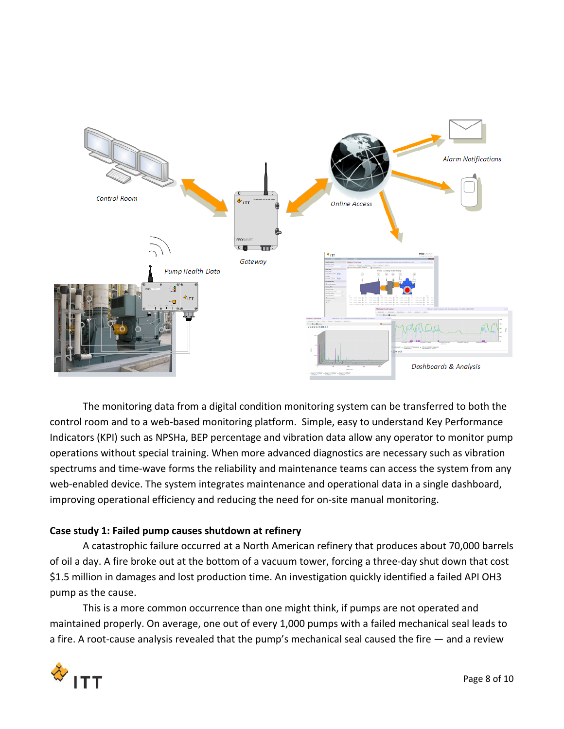

The monitoring data from a digital condition monitoring system can be transferred to both the control room and to a web‐based monitoring platform. Simple, easy to understand Key Performance Indicators (KPI) such as NPSHa, BEP percentage and vibration data allow any operator to monitor pump operations without special training. When more advanced diagnostics are necessary such as vibration spectrums and time‐wave forms the reliability and maintenance teams can access the system from any web-enabled device. The system integrates maintenance and operational data in a single dashboard, improving operational efficiency and reducing the need for on‐site manual monitoring.

# **Case study 1: Failed pump causes shutdown at refinery**

A catastrophic failure occurred at a North American refinery that produces about 70,000 barrels of oil a day. A fire broke out at the bottom of a vacuum tower, forcing a three‐day shut down that cost \$1.5 million in damages and lost production time. An investigation quickly identified a failed API OH3 pump as the cause.

This is a more common occurrence than one might think, if pumps are not operated and maintained properly. On average, one out of every 1,000 pumps with a failed mechanical seal leads to a fire. A root-cause analysis revealed that the pump's mechanical seal caused the fire  $-$  and a review

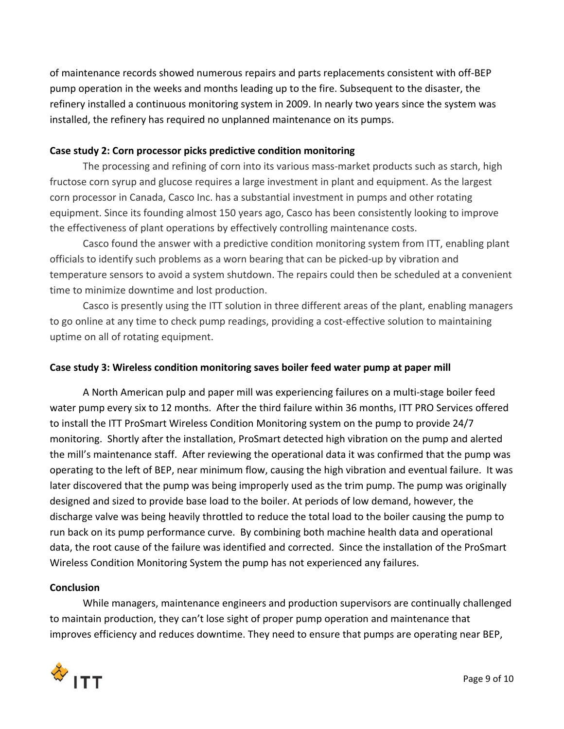of maintenance records showed numerous repairs and parts replacements consistent with off‐BEP pump operation in the weeks and months leading up to the fire. Subsequent to the disaster, the refinery installed a continuous monitoring system in 2009. In nearly two years since the system was installed, the refinery has required no unplanned maintenance on its pumps.

## **Case study 2: Corn processor picks predictive condition monitoring**

The processing and refining of corn into its various mass-market products such as starch, high fructose corn syrup and glucose requires a large investment in plant and equipment. As the largest corn processor in Canada, Casco Inc. has a substantial investment in pumps and other rotating equipment. Since its founding almost 150 years ago, Casco has been consistently looking to improve the effectiveness of plant operations by effectively controlling maintenance costs.

Casco found the answer with a predictive condition monitoring system from ITT, enabling plant officials to identify such problems as a worn bearing that can be picked‐up by vibration and temperature sensors to avoid a system shutdown. The repairs could then be scheduled at a convenient time to minimize downtime and lost production.

Casco is presently using the ITT solution in three different areas of the plant, enabling managers to go online at any time to check pump readings, providing a cost-effective solution to maintaining uptime on all of rotating equipment.

## **Case study 3: Wireless condition monitoring saves boiler feed water pump at paper mill**

A North American pulp and paper mill was experiencing failures on a multi‐stage boiler feed water pump every six to 12 months. After the third failure within 36 months, ITT PRO Services offered to install the ITT ProSmart Wireless Condition Monitoring system on the pump to provide 24/7 monitoring. Shortly after the installation, ProSmart detected high vibration on the pump and alerted the mill's maintenance staff. After reviewing the operational data it was confirmed that the pump was operating to the left of BEP, near minimum flow, causing the high vibration and eventual failure. It was later discovered that the pump was being improperly used as the trim pump. The pump was originally designed and sized to provide base load to the boiler. At periods of low demand, however, the discharge valve was being heavily throttled to reduce the total load to the boiler causing the pump to run back on its pump performance curve. By combining both machine health data and operational data, the root cause of the failure was identified and corrected. Since the installation of the ProSmart Wireless Condition Monitoring System the pump has not experienced any failures.

#### **Conclusion**

While managers, maintenance engineers and production supervisors are continually challenged to maintain production, they can't lose sight of proper pump operation and maintenance that improves efficiency and reduces downtime. They need to ensure that pumps are operating near BEP,